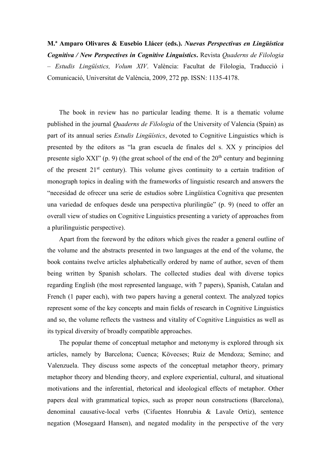**M.ª Amparo Olivares & Eusebio Llácer (eds.).** *Nuevas Perspectivas en Lingüística Cognitiva / New Perspectives in Cognitive Linguistics***.** Revista *Quaderns de Filologia – Estudis Lingüístics, Volum XIV*. València: Facultat de Filologia, Traducció i Comunicació, Universitat de València, 2009, 272 pp. ISSN: 1135-4178.

The book in review has no particular leading theme. It is a thematic volume published in the journal *Quaderns de Filologia* of the University of Valencia (Spain) as part of its annual series *Estudis Lingüístics*, devoted to Cognitive Linguistics which is presented by the editors as "la gran escuela de finales del s. XX y principios del presente siglo XXI" (p. 9) (the great school of the end of the  $20<sup>th</sup>$  century and beginning of the present  $21<sup>st</sup>$  century). This volume gives continuity to a certain tradition of monograph topics in dealing with the frameworks of linguistic research and answers the "necesidad de ofrecer una serie de estudios sobre Lingüística Cognitiva que presenten una variedad de enfoques desde una perspectiva plurilingüe" (p. 9) (need to offer an overall view of studies on Cognitive Linguistics presenting a variety of approaches from a plurilinguistic perspective).

Apart from the foreword by the editors which gives the reader a general outline of the volume and the abstracts presented in two languages at the end of the volume, the book contains twelve articles alphabetically ordered by name of author, seven of them being written by Spanish scholars. The collected studies deal with diverse topics regarding English (the most represented language, with 7 papers), Spanish, Catalan and French (1 paper each), with two papers having a general context. The analyzed topics represent some of the key concepts and main fields of research in Cognitive Linguistics and so, the volume reflects the vastness and vitality of Cognitive Linguistics as well as its typical diversity of broadly compatible approaches.

The popular theme of conceptual metaphor and metonymy is explored through six articles, namely by Barcelona; Cuenca; Kövecses; Ruiz de Mendoza; Semino; and Valenzuela. They discuss some aspects of the conceptual metaphor theory, primary metaphor theory and blending theory, and explore experiential, cultural, and situational motivations and the inferential, rhetorical and ideological effects of metaphor. Other papers deal with grammatical topics, such as proper noun constructions (Barcelona), denominal causative-local verbs (Cifuentes Honrubia & Lavale Ortiz), sentence negation (Mosegaard Hansen), and negated modality in the perspective of the very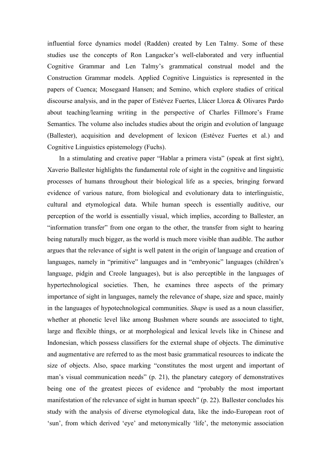influential force dynamics model (Radden) created by Len Talmy. Some of these studies use the concepts of Ron Langacker's well-elaborated and very influential Cognitive Grammar and Len Talmy's grammatical construal model and the Construction Grammar models. Applied Cognitive Linguistics is represented in the papers of Cuenca; Mosegaard Hansen; and Semino, which explore studies of critical discourse analysis, and in the paper of Estévez Fuertes, Llácer Llorca & Olivares Pardo about teaching/learning writing in the perspective of Charles Fillmore's Frame Semantics. The volume also includes studies about the origin and evolution of language (Ballester), acquisition and development of lexicon (Estévez Fuertes et al.) and Cognitive Linguistics epistemology (Fuchs).

In a stimulating and creative paper "Hablar a primera vista" (speak at first sight), Xaverio Ballester highlights the fundamental role of sight in the cognitive and linguistic processes of humans throughout their biological life as a species, bringing forward evidence of various nature, from biological and evolutionary data to interlinguistic, cultural and etymological data. While human speech is essentially auditive, our perception of the world is essentially visual, which implies, according to Ballester, an "information transfer" from one organ to the other, the transfer from sight to hearing being naturally much bigger, as the world is much more visible than audible. The author argues that the relevance of sight is well patent in the origin of language and creation of languages, namely in "primitive" languages and in "embryonic" languages (children's language, pidgin and Creole languages), but is also perceptible in the languages of hypertechnological societies. Then, he examines three aspects of the primary importance of sight in languages, namely the relevance of shape, size and space, mainly in the languages of hypotechnological communities. *Shape* is used as a noun classifier, whether at phonetic level like among Bushmen where sounds are associated to tight, large and flexible things, or at morphological and lexical levels like in Chinese and Indonesian, which possess classifiers for the external shape of objects. The diminutive and augmentative are referred to as the most basic grammatical resources to indicate the size of objects. Also, space marking "constitutes the most urgent and important of man's visual communication needs" (p. 21), the planetary category of demonstratives being one of the greatest pieces of evidence and "probably the most important manifestation of the relevance of sight in human speech" (p. 22). Ballester concludes his study with the analysis of diverse etymological data, like the indo-European root of 'sun', from which derived 'eye' and metonymically 'life', the metonymic association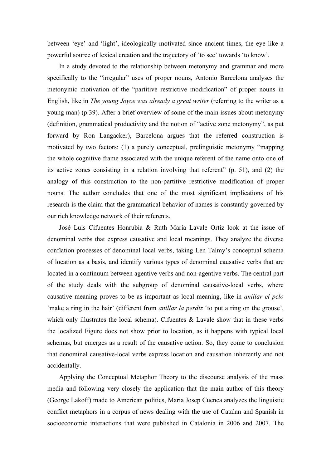between 'eye' and 'light', ideologically motivated since ancient times, the eye like a powerful source of lexical creation and the trajectory of 'to see' towards 'to know'.

In a study devoted to the relationship between metonymy and grammar and more specifically to the "irregular" uses of proper nouns, Antonio Barcelona analyses the metonymic motivation of the "partitive restrictive modification" of proper nouns in English, like in *The young Joyce was already a great writer* (referring to the writer as a young man) (p.39). After a brief overview of some of the main issues about metonymy (definition, grammatical productivity and the notion of "active zone metonymy", as put forward by Ron Langacker), Barcelona argues that the referred construction is motivated by two factors: (1) a purely conceptual, prelinguistic metonymy "mapping the whole cognitive frame associated with the unique referent of the name onto one of its active zones consisting in a relation involving that referent" (p. 51), and (2) the analogy of this construction to the non-partitive restrictive modification of proper nouns. The author concludes that one of the most significant implications of his research is the claim that the grammatical behavior of names is constantly governed by our rich knowledge network of their referents.

José Luis Cifuentes Honrubia & Ruth María Lavale Ortiz look at the issue of denominal verbs that express causative and local meanings. They analyze the diverse conflation processes of denominal local verbs, taking Len Talmy's conceptual schema of location as a basis, and identify various types of denominal causative verbs that are located in a continuum between agentive verbs and non-agentive verbs. The central part of the study deals with the subgroup of denominal causative-local verbs, where causative meaning proves to be as important as local meaning, like in *anillar el pelo* 'make a ring in the hair' (different from *anillar la perdiz* 'to put a ring on the grouse', which only illustrates the local schema). Cifuentes  $\&$  Lavale show that in these verbs the localized Figure does not show prior to location, as it happens with typical local schemas, but emerges as a result of the causative action. So, they come to conclusion that denominal causative-local verbs express location and causation inherently and not accidentally.

Applying the Conceptual Metaphor Theory to the discourse analysis of the mass media and following very closely the application that the main author of this theory (George Lakoff) made to American politics, Maria Josep Cuenca analyzes the linguistic conflict metaphors in a corpus of news dealing with the use of Catalan and Spanish in socioeconomic interactions that were published in Catalonia in 2006 and 2007. The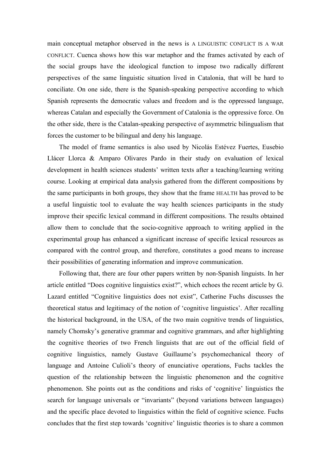main conceptual metaphor observed in the news is A LINGUISTIC CONFLICT IS A WAR CONFLICT. Cuenca shows how this war metaphor and the frames activated by each of the social groups have the ideological function to impose two radically different perspectives of the same linguistic situation lived in Catalonia, that will be hard to conciliate. On one side, there is the Spanish-speaking perspective according to which Spanish represents the democratic values and freedom and is the oppressed language, whereas Catalan and especially the Government of Catalonia is the oppressive force. On the other side, there is the Catalan-speaking perspective of asymmetric bilingualism that forces the customer to be bilingual and deny his language.

The model of frame semantics is also used by Nicolás Estévez Fuertes, Eusebio Llácer Llorca & Amparo Olivares Pardo in their study on evaluation of lexical development in health sciences students' written texts after a teaching/learning writing course. Looking at empirical data analysis gathered from the different compositions by the same participants in both groups, they show that the frame HEALTH has proved to be a useful linguistic tool to evaluate the way health sciences participants in the study improve their specific lexical command in different compositions. The results obtained allow them to conclude that the socio-cognitive approach to writing applied in the experimental group has enhanced a significant increase of specific lexical resources as compared with the control group, and therefore, constitutes a good means to increase their possibilities of generating information and improve communication.

Following that, there are four other papers written by non-Spanish linguists. In her article entitled "Does cognitive linguistics exist?", which echoes the recent article by G. Lazard entitled "Cognitive linguistics does not exist", Catherine Fuchs discusses the theoretical status and legitimacy of the notion of 'cognitive linguistics'. After recalling the historical background, in the USA, of the two main cognitive trends of linguistics, namely Chomsky's generative grammar and cognitive grammars, and after highlighting the cognitive theories of two French linguists that are out of the official field of cognitive linguistics, namely Gustave Guillaume's psychomechanical theory of language and Antoine Culioli's theory of enunciative operations, Fuchs tackles the question of the relationship between the linguistic phenomenon and the cognitive phenomenon. She points out as the conditions and risks of 'cognitive' linguistics the search for language universals or "invariants" (beyond variations between languages) and the specific place devoted to linguistics within the field of cognitive science. Fuchs concludes that the first step towards 'cognitive' linguistic theories is to share a common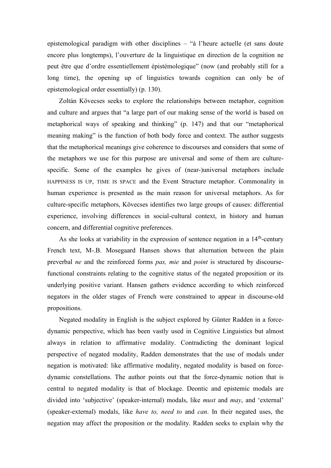epistemological paradigm with other disciplines – "à l'heure actuelle (et sans doute encore plus longtemps), l'ouverture de la linguistique en direction de la cognition ne peut être que d'ordre essentiellement épistémologique" (now (and probably still for a long time), the opening up of linguistics towards cognition can only be of epistemological order essentially) (p. 130).

Zoltán Kövecses seeks to explore the relationships between metaphor, cognition and culture and argues that "a large part of our making sense of the world is based on metaphorical ways of speaking and thinking" (p. 147) and that our "metaphorical meaning making" is the function of both body force and context. The author suggests that the metaphorical meanings give coherence to discourses and considers that some of the metaphors we use for this purpose are universal and some of them are culturespecific. Some of the examples he gives of (near-)universal metaphors include HAPPINESS IS UP, TIME IS SPACE and the Event Structure metaphor. Commonality in human experience is presented as the main reason for universal metaphors. As for culture-specific metaphors, Kövecses identifies two large groups of causes: differential experience, involving differences in social-cultural context, in history and human concern, and differential cognitive preferences.

As she looks at variability in the expression of sentence negation in a 14<sup>th</sup>-century French text, M-.B. Mosegaard Hansen shows that alternation between the plain preverbal *ne* and the reinforced forms *pas, mie* and *point* is structured by discoursefunctional constraints relating to the cognitive status of the negated proposition or its underlying positive variant. Hansen gathers evidence according to which reinforced negators in the older stages of French were constrained to appear in discourse-old propositions.

Negated modality in English is the subject explored by Günter Radden in a forcedynamic perspective, which has been vastly used in Cognitive Linguistics but almost always in relation to affirmative modality. Contradicting the dominant logical perspective of negated modality, Radden demonstrates that the use of modals under negation is motivated: like affirmative modality, negated modality is based on forcedynamic constellations. The author points out that the force-dynamic notion that is central to negated modality is that of blockage. Deontic and epistemic modals are divided into 'subjective' (speaker-internal) modals, like *must* and *may*, and 'external' (speaker-external) modals, like *have to, need to* and *can*. In their negated uses, the negation may affect the proposition or the modality. Radden seeks to explain why the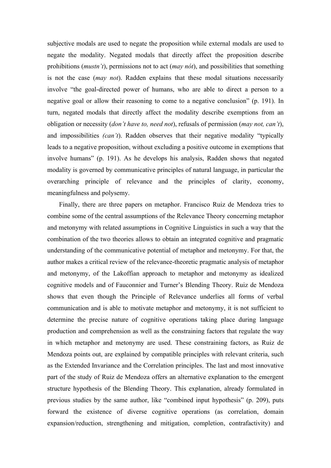subjective modals are used to negate the proposition while external modals are used to negate the modality. Negated modals that directly affect the proposition describe prohibitions (*mustn't*), permissions not to act (*may nót*), and possibilities that something is not the case (*may not*). Radden explains that these modal situations necessarily involve "the goal-directed power of humans, who are able to direct a person to a negative goal or allow their reasoning to come to a negative conclusion" (p. 191). In turn, negated modals that directly affect the modality describe exemptions from an obligation or necessity (*don't have to, need not*), refusals of permission (*may not, can't*), and impossibilities *(can't*). Radden observes that their negative modality "typically leads to a negative proposition, without excluding a positive outcome in exemptions that involve humans" (p. 191). As he develops his analysis, Radden shows that negated modality is governed by communicative principles of natural language, in particular the overarching principle of relevance and the principles of clarity, economy, meaningfulness and polysemy.

Finally, there are three papers on metaphor. Francisco Ruiz de Mendoza tries to combine some of the central assumptions of the Relevance Theory concerning metaphor and metonymy with related assumptions in Cognitive Linguistics in such a way that the combination of the two theories allows to obtain an integrated cognitive and pragmatic understanding of the communicative potential of metaphor and metonymy. For that, the author makes a critical review of the relevance-theoretic pragmatic analysis of metaphor and metonymy, of the Lakoffian approach to metaphor and metonymy as idealized cognitive models and of Fauconnier and Turner's Blending Theory. Ruiz de Mendoza shows that even though the Principle of Relevance underlies all forms of verbal communication and is able to motivate metaphor and metonymy, it is not sufficient to determine the precise nature of cognitive operations taking place during language production and comprehension as well as the constraining factors that regulate the way in which metaphor and metonymy are used. These constraining factors, as Ruiz de Mendoza points out, are explained by compatible principles with relevant criteria, such as the Extended Invariance and the Correlation principles. The last and most innovative part of the study of Ruiz de Mendoza offers an alternative explanation to the emergent structure hypothesis of the Blending Theory. This explanation, already formulated in previous studies by the same author, like "combined input hypothesis" (p. 209), puts forward the existence of diverse cognitive operations (as correlation, domain expansion/reduction, strengthening and mitigation, completion, contrafactivity) and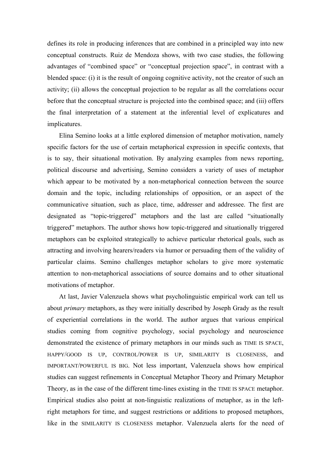defines its role in producing inferences that are combined in a principled way into new conceptual constructs. Ruiz de Mendoza shows, with two case studies, the following advantages of "combined space" or "conceptual projection space", in contrast with a blended space: (i) it is the result of ongoing cognitive activity, not the creator of such an activity; (ii) allows the conceptual projection to be regular as all the correlations occur before that the conceptual structure is projected into the combined space; and (iii) offers the final interpretation of a statement at the inferential level of explicatures and implicatures.

Elina Semino looks at a little explored dimension of metaphor motivation, namely specific factors for the use of certain metaphorical expression in specific contexts, that is to say, their situational motivation. By analyzing examples from news reporting, political discourse and advertising, Semino considers a variety of uses of metaphor which appear to be motivated by a non-metaphorical connection between the source domain and the topic, including relationships of opposition, or an aspect of the communicative situation, such as place, time, addresser and addressee. The first are designated as "topic-triggered" metaphors and the last are called "situationally triggered" metaphors. The author shows how topic-triggered and situationally triggered metaphors can be exploited strategically to achieve particular rhetorical goals, such as attracting and involving hearers/readers via humor or persuading them of the validity of particular claims. Semino challenges metaphor scholars to give more systematic attention to non-metaphorical associations of source domains and to other situational motivations of metaphor.

At last, Javier Valenzuela shows what psycholinguistic empirical work can tell us about *primary* metaphors, as they were initially described by Joseph Grady as the result of experiential correlations in the world. The author argues that various empirical studies coming from cognitive psychology, social psychology and neuroscience demonstrated the existence of primary metaphors in our minds such as TIME IS SPACE, HAPPY/GOOD IS UP, CONTROL/POWER IS UP, SIMILARITY IS CLOSENESS, and IMPORTANT/POWERFUL IS BIG. Not less important, Valenzuela shows how empirical studies can suggest refinements in Conceptual Metaphor Theory and Primary Metaphor Theory, as in the case of the different time-lines existing in the TIME IS SPACE metaphor. Empirical studies also point at non-linguistic realizations of metaphor, as in the leftright metaphors for time, and suggest restrictions or additions to proposed metaphors, like in the SIMILARITY IS CLOSENESS metaphor. Valenzuela alerts for the need of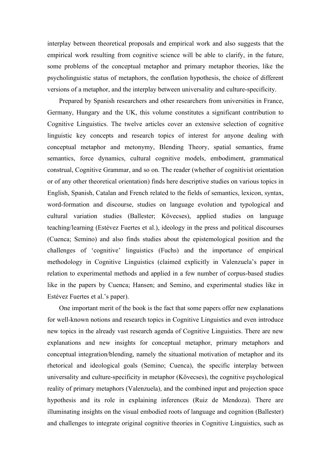interplay between theoretical proposals and empirical work and also suggests that the empirical work resulting from cognitive science will be able to clarify, in the future, some problems of the conceptual metaphor and primary metaphor theories, like the psycholinguistic status of metaphors, the conflation hypothesis, the choice of different versions of a metaphor, and the interplay between universality and culture-specificity.

Prepared by Spanish researchers and other researchers from universities in France, Germany, Hungary and the UK, this volume constitutes a significant contribution to Cognitive Linguistics. The twelve articles cover an extensive selection of cognitive linguistic key concepts and research topics of interest for anyone dealing with conceptual metaphor and metonymy, Blending Theory, spatial semantics, frame semantics, force dynamics, cultural cognitive models, embodiment, grammatical construal, Cognitive Grammar, and so on. The reader (whether of cognitivist orientation or of any other theoretical orientation) finds here descriptive studies on various topics in English, Spanish, Catalan and French related to the fields of semantics, lexicon, syntax, word-formation and discourse, studies on language evolution and typological and cultural variation studies (Ballester; Kövecses), applied studies on language teaching/learning (Estévez Fuertes et al.), ideology in the press and political discourses (Cuenca; Semino) and also finds studies about the epistemological position and the challenges of 'cognitive' linguistics (Fuchs) and the importance of empirical methodology in Cognitive Linguistics (claimed explicitly in Valenzuela's paper in relation to experimental methods and applied in a few number of corpus-based studies like in the papers by Cuenca; Hansen; and Semino, and experimental studies like in Estévez Fuertes et al.'s paper).

One important merit of the book is the fact that some papers offer new explanations for well-known notions and research topics in Cognitive Linguistics and even introduce new topics in the already vast research agenda of Cognitive Linguistics. There are new explanations and new insights for conceptual metaphor, primary metaphors and conceptual integration/blending, namely the situational motivation of metaphor and its rhetorical and ideological goals (Semino; Cuenca), the specific interplay between universality and culture-specificity in metaphor (Kövecses), the cognitive psychological reality of primary metaphors (Valenzuela), and the combined input and projection space hypothesis and its role in explaining inferences (Ruiz de Mendoza). There are illuminating insights on the visual embodied roots of language and cognition (Ballester) and challenges to integrate original cognitive theories in Cognitive Linguistics, such as